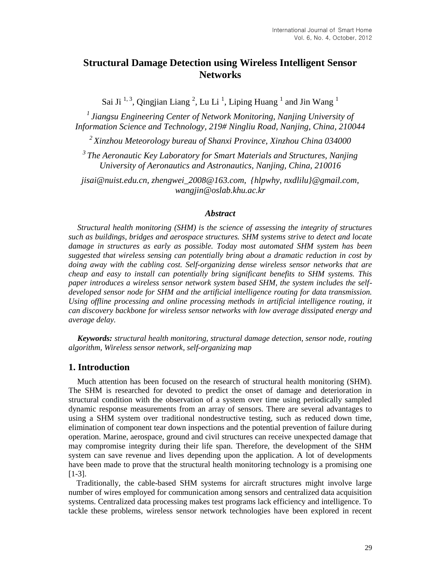# **Structural Damage Detection using Wireless Intelligent Sensor Networks**

Sai Ji<sup>1,3</sup>, Qingjian Liang<sup>2</sup>, Lu Li<sup>1</sup>, Liping Huang<sup>1</sup> and Jin Wang<sup>1</sup>

*1 Jiangsu Engineering Center of Network Monitoring, Nanjing University of Information Science and Technology, 219# Ningliu Road, Nanjing, China, 210044*

*<sup>2</sup>Xinzhou Meteorology bureau of Shanxi Province, Xinzhou China 034000*

*3 The Aeronautic Key Laboratory for Smart Materials and Structures, Nanjing University of Aeronautics and Astronautics, Nanjing, China, 210016*

*jisai@nuist.edu.cn, zhengwei\_2008@163.com, {hlpwhy, nxdlilu}@gmail.com, wangjin@oslab.khu.ac.kr*

### *Abstract*

*Structural health monitoring (SHM) is the science of assessing the integrity of structures such as buildings, bridges and aerospace structures. SHM systems strive to detect and locate damage in structures as early as possible. Today most automated SHM system has been suggested that wireless sensing can potentially bring about a dramatic reduction in cost by doing away with the cabling cost. Self-organizing dense wireless sensor networks that are cheap and easy to install can potentially bring significant benefits to SHM systems. This paper introduces a wireless sensor network system based SHM, the system includes the selfdeveloped sensor node for SHM and the artificial intelligence routing for data transmission. Using offline processing and online processing methods in artificial intelligence routing, it can discovery backbone for wireless sensor networks with low average dissipated energy and average delay.*

*Keywords: structural health monitoring, structural damage detection, sensor node, routing algorithm, Wireless sensor network, self-organizing map*

## **1. Introduction**

Much attention has been focused on the research of structural health monitoring (SHM). The SHM is researched for devoted to predict the onset of damage and deterioration in structural condition with the observation of a system over time using periodically sampled dynamic response measurements from an array of sensors. There are several advantages to using a SHM system over traditional nondestructive testing, such as reduced down time, elimination of component tear down inspections and the potential prevention of failure during operation. Marine, aerospace, ground and civil structures can receive unexpected damage that may compromise integrity during their life span. Therefore, the development of the SHM system can save revenue and lives depending upon the application. A lot of developments have been made to prove that the structural health monitoring technology is a promising one [1-3].

Traditionally, the cable-based SHM systems for aircraft structures might involve large number of wires employed for communication among sensors and centralized data acquisition systems. Centralized data processing makes test programs lack efficiency and intelligence. To tackle these problems, wireless sensor network technologies have been explored in recent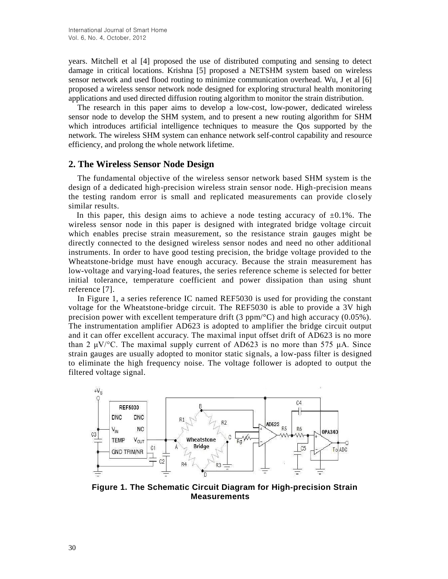years. Mitchell et al [4] proposed the use of distributed computing and sensing to detect damage in critical locations. Krishna [5] proposed a NETSHM system based on wireless sensor network and used flood routing to minimize communication overhead. Wu, J et al [6] proposed a wireless sensor network node designed for exploring structural health monitoring applications and used directed diffusion routing algorithm to monitor the strain distribution.

The research in this paper aims to develop a low-cost, low-power, dedicated wireless sensor node to develop the SHM system, and to present a new routing algorithm for SHM which introduces artificial intelligence techniques to measure the Qos supported by the network. The wireless SHM system can enhance network self-control capability and resource efficiency, and prolong the whole network lifetime.

## **2. The Wireless Sensor Node Design**

The fundamental objective of the wireless sensor network based SHM system is the design of a dedicated high-precision wireless strain sensor node. High-precision means the testing random error is small and replicated measurements can provide closely similar results.

In this paper, this design aims to achieve a node testing accuracy of  $\pm 0.1\%$ . The wireless sensor node in this paper is designed with integrated bridge voltage circuit which enables precise strain measurement, so the resistance strain gauges might be directly connected to the designed wireless sensor nodes and need no other additional instruments. In order to have good testing precision, the bridge voltage provided to the Wheatstone-bridge must have enough accuracy. Because the strain measurement has low-voltage and varying-load features, the series reference scheme is selected for better initial tolerance, temperature coefficient and power dissipation than using shunt reference [7].

In Figure 1, a series reference IC named REF5030 is used for providing the constant voltage for the Wheatstone-bridge circuit. The REF5030 is able to provide a 3V high precision power with excellent temperature drift (3 ppm/ $\mathcal{C}$ ) and high accuracy (0.05%). The instrumentation amplifier AD623 is adopted to amplifier the bridge circuit output and it can offer excellent accuracy. The maximal input offset drift of AD623 is no more than 2  $\mu$ V/°C. The maximal supply current of AD623 is no more than 575  $\mu$ A. Since strain gauges are usually adopted to monitor static signals, a low-pass filter is designed to eliminate the high frequency noise. The voltage follower is adopted to output the filtered voltage signal.



**Figure 1. The Schematic Circuit Diagram for High-precision Strain Measurements**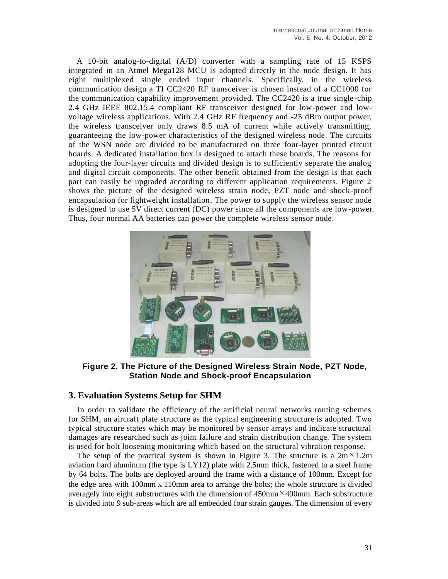A 10-bit analog-to-digital (A/D) converter with a sampling rate of 15 KSPS integrated in an Atmel Mega128 MCU is adopted directly in the node design. It has eight multiplexed single ended input channels. Specifically, in the wireless communication design a TI CC2420 RF transceiver is chosen instead of a CC1000 for the communication capability improvement provided. The CC2420 is a true single -chip 2.4 GHz IEEE 802.15.4 compliant RF transceiver designed for low-power and lowvoltage wireless applications. With 2.4 GHz RF frequency and -25 dBm output power, the wireless transceiver only draws 8.5 mA of current while actively transmitting, guaranteeing the low-power characteristics of the designed wireless node. The circuits of the WSN node are divided to be manufactured on three four-layer printed circuit boards. A dedicated installation box is designed to attach these boards. The reasons for adopting the four-layer circuits and divided design is to sufficiently separate the analog and digital circuit components. The other benefit obtained from the design is that each part can easily be upgraded according to different application requirements. Figure 2 shows the picture of the designed wireless strain node, PZT node and shock-proof encapsulation for lightweight installation. The power to supply the wireless sensor node is designed to use 5V direct current (DC) power since all the components are low-power. Thus, four normal AA batteries can power the complete wireless sensor node.



**Figure 2. The Picture of the Designed Wireless Strain Node, PZT Node, Station Node and Shock-proof Encapsulation**

## **3. Evaluation Systems Setup for SHM**

In order to validate the efficiency of the artificial neural networks routing schemes for SHM, an aircraft plate structure as the typical engineering structure is adopted. Two typical structure states which may be monitored by sensor arrays and indicate structural damages are researched such as joint failure and strain distribution change. The system is used for bolt loosening monitoring which based on the structural vibration response.

The setup of the practical system is shown in Figure 3. The structure is a  $2m \times 1.2m$ aviation hard aluminum (the type is LY12) plate with 2.5mm thick, fastened to a steel frame by 64 bolts. The bolts are deployed around the frame with a distance of 100mm. Except for the edge area with 100mmⅹ110mm area to arrange the bolts; the whole structure is divided averagely into eight substructures with the dimension of 450mm × 490mm. Each substructure is divided into 9 sub-areas which are all embedded four strain gauges. The dimension of every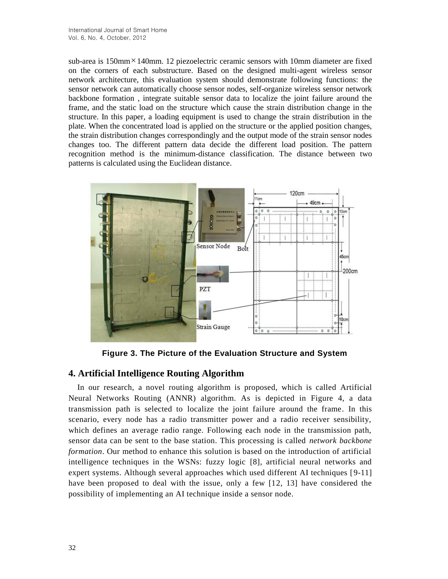sub-area is 150mm × 140mm. 12 piezoelectric ceramic sensors with 10mm diameter are fixed on the corners of each substructure. Based on the designed multi-agent wireless sensor network architecture, this evaluation system should demonstrate following functions: the sensor network can automatically choose sensor nodes, self-organize wireless sensor network backbone formation , integrate suitable sensor data to localize the joint failure around the frame, and the static load on the structure which cause the strain distribution change in the structure. In this paper, a loading equipment is used to change the strain distribution in the plate. When the concentrated load is applied on the structure or the applied position changes, the strain distribution changes correspondingly and the output mode of the strain sensor nodes changes too. The different pattern data decide the different load position. The pattern recognition method is the minimum-distance classification. The distance between two patterns is calculated using the Euclidean distance.



**Figure 3. The Picture of the Evaluation Structure and System** 

## **4. Artificial Intelligence Routing Algorithm**

In our research, a novel routing algorithm is proposed, which is called Artificial Neural Networks Routing (ANNR) algorithm. As is depicted in Figure 4, a data transmission path is selected to localize the joint failure around the frame. In this scenario, every node has a radio transmitter power and a radio receiver sensibility, which defines an average radio range. Following each node in the transmission path, sensor data can be sent to the base station. This processing is called *network backbone formation*. Our method to enhance this solution is based on the introduction of artificial intelligence techniques in the WSNs: fuzzy logic [8], artificial neural networks and expert systems. Although several approaches which used different AI techniques [9-11] have been proposed to deal with the issue, only a few [12, 13] have considered the possibility of implementing an AI technique inside a sensor node.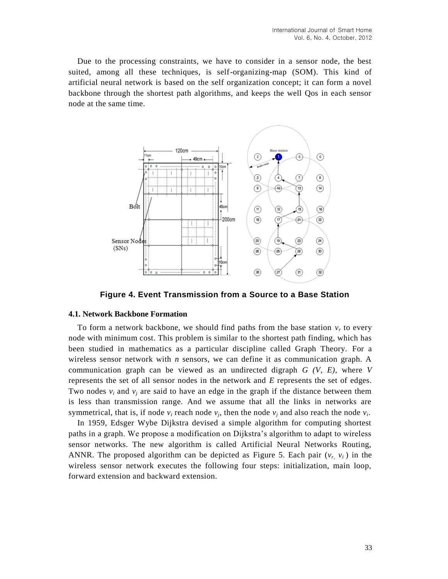Due to the processing constraints, we have to consider in a sensor node, the best suited, among all these techniques, is self-organizing-map (SOM). This kind of artificial neural network is based on the self organization concept; it can form a novel backbone through the shortest path algorithms, and keeps the well Qos in each sensor node at the same time.



**Figure 4. Event Transmission from a Source to a Base Station**

#### **4.1. Network Backbone Formation**

To form a network backbone, we should find paths from the base station  $v_r$  to every node with minimum cost. This problem is similar to the shortest path finding, which has been studied in mathematics as a particular discipline called Graph Theory. For a wireless sensor network with *n* sensors, we can define it as communication graph. A communication graph can be viewed as an undirected digraph *G (V, E)*, where *V* represents the set of all sensor nodes in the network and *E* represents the set of edges. Two nodes  $v_i$  and  $v_j$  are said to have an edge in the graph if the distance between them is less than transmission range. And we assume that all the links in networks are symmetrical, that is, if node  $v_i$  reach node  $v_j$ , then the node  $v_j$  and also reach the node  $v_i$ .

In 1959, Edsger Wybe Dijkstra devised a simple algorithm for computing shortest paths in a graph. We propose a modification on Dijkstra's algorithm to adapt to wireless sensor networks. The new algorithm is called Artificial Neural Networks Routing, ANNR. The proposed algorithm can be depicted as Figure 5. Each pair  $(v_r, v_i)$  in the wireless sensor network executes the following four steps: initialization, main loop, forward extension and backward extension.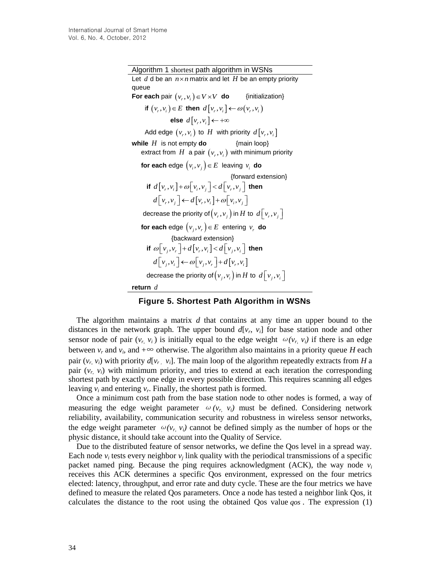Algorithm 1 shortest path algorithm in WSNs Let  $d$  d be an  $n \times n$  matrix and let  $H$  be an empty priority queue **For each** pair  $(v_r, v_i) \in V \times V$ **do** {initialization} if  $(v_r, v_i) \in E$  then  $d[v_r, v_i] \leftarrow \omega(v_r, v_i)$ **else**  $d\left[v_r,v_i\right] \leftarrow +\infty$ Add edge  $(v_r, v_i)$  to  $H$  with priority  $d[v_r, v_i]$ **while**  *H* is not empty **do** {main loop} extract from  $H$  a pair  $(v_r, v_i)$  with minimum priority  **for each** edge  $(v_i, v_j) \in E$  leaving  $v_i$  **do**  {forward extension} **if**  $d[v_r, v_i] + \omega[v_r, v_j] < d[v_r, v_j]$  then  $d[v_r, v_i] \leftarrow d[v_r, v_i] + \omega[v_i, v_i]$ decrease the priority of  $\left(\nu_r,\nu_j\right)$  in  $H$  to  $\ d\left[\,\nu_r,\nu_j\,\right]$ **for each** edge  $(v_j, v_r) \in E$  entering  $v_r$  **do** {backward extension} **if**  $\omega[v_i, v_r] + d[v_r, v_i] < d[v_j, v_i]$  then  $d[v_i, v_j] \leftarrow \omega[v_i, v_r] + d[v_i, v_j]$ decrease the priority of  $\left(\nu_{_j},\nu_{_i}\right)$  in  $H$  to  $\ d\left[\,\nu_{_j},\nu_{_i}\,\right]$ **return** *d*

**Figure 5. Shortest Path Algorithm in WSNs**

The algorithm maintains a matrix *d* that contains at any time an upper bound to the distances in the network graph. The upper bound  $d[v_r, v_i]$  for base station node and other sensor node of pair  $(v_r, v_i)$  is initially equal to the edge weight  $\omega(v_r, v_i)$  if there is an edge between  $v_r$  and  $v_i$ , and  $+\infty$  otherwise. The algorithm also maintains in a priority queue *H* each pair  $(v_r, v_i)$  with priority  $d[v_r, v_i]$ . The main loop of the algorithm repeatedly extracts from *H* a pair  $(v_r, v_i)$  with minimum priority, and tries to extend at each iteration the corresponding shortest path by exactly one edge in every possible direction. This requires scanning all edges leaving  $v_i$  and entering  $v_r$ . Finally, the shortest path is formed.

Once a minimum cost path from the base station node to other nodes is formed, a way of measuring the edge weight parameter  $\omega(v_r, v_i)$  must be defined. Considering network reliability, availability, communication security and robustness in wireless sensor networks, the edge weight parameter  $\omega(v_r, v_i)$  cannot be defined simply as the number of hops or the physic distance, it should take account into the Quality of Service.

Due to the distributed feature of sensor networks, we define the Qos level in a spread way. Each node  $v_i$  tests every neighbor  $v_j$  link quality with the periodical transmissions of a specific packet named ping. Because the ping requires acknowledgment (ACK), the way node  $v_i$ receives this ACK determines a specific Qos environment, expressed on the four metrics elected: latency, throughput, and error rate and duty cycle. These are the four metrics we have defined to measure the related Qos parameters. Once a node has tested a neighbor link Qos, it calculates the distance to the root using the obtained Qos value *qos* . The expression (1)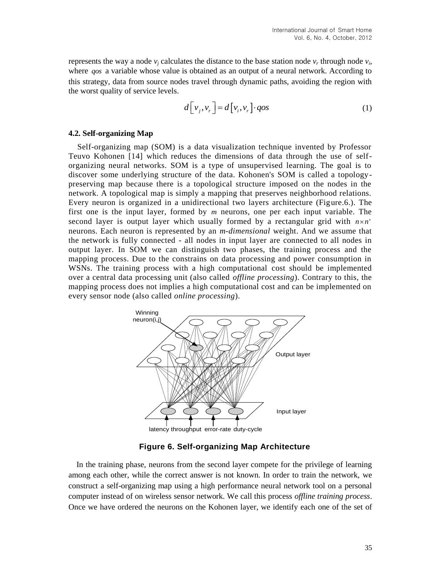represents the way a node  $v_j$  calculates the distance to the base station node  $v_r$  through node  $v_i$ , where *qos* a variable whose value is obtained as an output of a neural network. According to this strategy, data from source nodes travel through dynamic paths, avoiding the region with the worst quality of service levels.

$$
d\left[v_j, v_r\right] = d\left[v_i, v_r\right] \cdot qos\tag{1}
$$

#### **4.2. Self-organizing Map**

Self-organizing map (SOM) is a data visualization technique invented by Professor Teuvo Kohonen [14] which reduces the dimensions of data through the use of selforganizing neural networks. SOM is a type of unsupervised learning. The goal is to discover some underlying structure of the data. Kohonen's SOM is called a topologypreserving map because there is a topological structure imposed on the nodes in the network. A topological map is simply a mapping that preserves neighborhood relations. Every neuron is organized in a unidirectional two layers architecture (Figure.6.). The first one is the input layer, formed by *m* neurons, one per each input variable. The second layer is output layer which usually formed by a rectangular grid with  $n \times n'$ neurons. Each neuron is represented by an *m-dimensional* weight. And we assume that the network is fully connected - all nodes in input layer are connected to all nodes in output layer. In SOM we can distinguish two phases, the training process and the mapping process. Due to the constrains on data processing and power consumption in WSNs. The training process with a high computational cost should be implemented over a central data processing unit (also called *offline processing*). Contrary to this, the mapping process does not implies a high computational cost and can be implemented on every sensor node (also called *online processing*).



**Figure 6. Self-organizing Map Architecture**

In the training phase, neurons from the second layer compete for the privilege of learning among each other, while the correct answer is not known. In order to train the network, we construct a self-organizing map using a high performance neural network tool on a personal computer instead of on wireless sensor network. We call this process *offline training process*. Once we have ordered the neurons on the Kohonen layer, we identify each one of the set of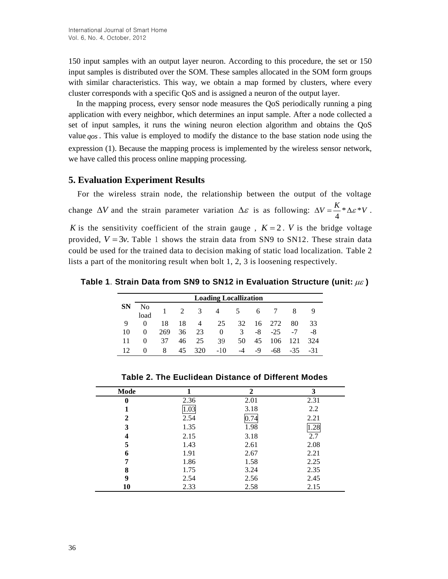150 input samples with an output layer neuron. According to this procedure, the set or 150 input samples is distributed over the SOM. These samples allocated in the SOM form groups with similar characteristics. This way, we obtain a map formed by clusters, where every cluster corresponds with a specific QoS and is assigned a neuron of the output layer.

In the mapping process, every sensor node measures the QoS periodically running a ping application with every neighbor, which determines an input sample. After a node collected a set of input samples, it runs the wining neuron election algorithm and obtains the QoS value *qos* . This value is employed to modify the distance to the base station node using the expression (1). Because the mapping process is implemented by the wireless sensor network, we have called this process online mapping processing.

## **5. Evaluation Experiment Results**

For the wireless strain node, the relationship between the output of the voltage change  $\Delta V$  and the strain parameter variation  $\Delta \varepsilon$  is as following:  $\Delta V = \frac{\Delta}{I} * \Delta \varepsilon$ 4  $\Delta V = \frac{K}{4} * \Delta \varepsilon * V$ . K is the sensitivity coefficient of the strain gauge,  $K = 2$ . V is the bridge voltage provided,  $V = 3v$ . Table 1 shows the strain data from SN9 to SN12. These strain data could be used for the trained data to decision making of static load localization. Table 2 lists a part of the monitoring result when bolt 1, 2, 3 is loosening respectively.

**Table 1**. **Strain Data from SN9 to SN12 in Evaluation Structure (unit: )**

|    | <b>Loading Locallization</b> |     |    |                         |       |      |    |        |      |     |  |
|----|------------------------------|-----|----|-------------------------|-------|------|----|--------|------|-----|--|
| SN | N <sub>0</sub><br>load       |     | 2  | $\overline{\mathbf{3}}$ | 4     | 5    | 6  |        | 8    | -9  |  |
| 9  |                              | 18  | 18 | $\overline{4}$          | 25    | 32   |    | 16 272 | 80   | 33  |  |
| 10 |                              | 269 | 36 | 23                      | 0     | 3    | -8 | $-25$  | $-7$ | -8  |  |
| 11 | $\mathbf{0}$                 | 37  | 46 | 25                      | 39    | 50   | 45 | 106    | 121  | 324 |  |
| 12 |                              | 8   | 45 | 320                     | $-10$ | $-4$ | -9 | -68    | -35. | -31 |  |

| Mode         |      | $\mathcal{D}$ | 3    |
|--------------|------|---------------|------|
| $\mathbf{0}$ | 2.36 | 2.01          | 2.31 |
|              | 1.03 | 3.18          | 2.2  |
| 2            | 2.54 | 0.74          | 2.21 |
| 3            | 1.35 | 1.98          | .28  |
| 4            | 2.15 | 3.18          | 2.7  |
| 5            | 1.43 | 2.61          | 2.08 |
| 6            | 1.91 | 2.67          | 2.21 |
|              | 1.86 | 1.58          | 2.25 |
| 8            | 1.75 | 3.24          | 2.35 |
| 9            | 2.54 | 2.56          | 2.45 |
| 10           | 2.33 | 2.58          | 2.15 |

**Table 2. The Euclidean Distance of Different Modes**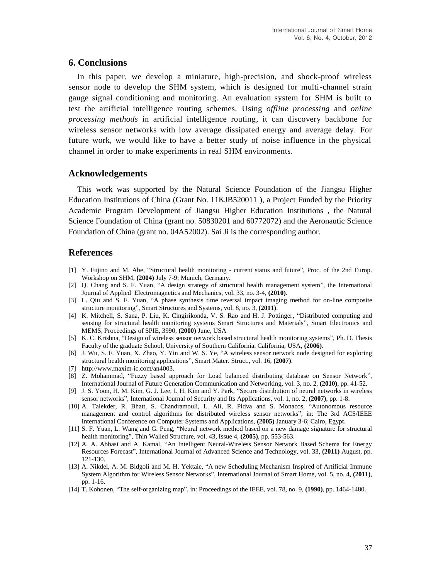### **6. Conclusions**

In this paper, we develop a miniature, high-precision, and shock-proof wireless sensor node to develop the SHM system, which is designed for multi-channel strain gauge signal conditioning and monitoring. An evaluation system for SHM is built to test the artificial intelligence routing schemes. Using *offline processing* and *online processing methods* in artificial intelligence routing, it can discovery backbone for wireless sensor networks with low average dissipated energy and average delay. For future work, we would like to have a better study of noise influence in the physical channel in order to make experiments in real SHM environments.

## **Acknowledgements**

This work was supported by the Natural Science Foundation of the Jiangsu Higher Education Institutions of China (Grant No. 11KJB520011 ), a Project Funded by the Priority Academic Program Development of Jiangsu Higher Education Institutions , the Natural Science Foundation of China (grant no. 50830201 and 60772072) and the Aeronautic Science Foundation of China (grant no. 04A52002). Sai Ji is the corresponding author.

## **References**

- [1] Y. Fujino and M. Abe, "Structural health monitoring current status and future", Proc. of the 2nd Europ. Workshop on SHM, **(2004)** July 7-9; Munich, Germany.
- [2] Q. Chang and S. F. Yuan, "A design strategy of structural health management system", the International Journal of Applied Electromagnetics and Mechanics, vol. 33, no. 3-4, **(2010)**.
- [3] L. Qiu and S. F. Yuan, "A phase synthesis time reversal impact imaging method for on-line composite structure monitoring", Smart Structures and Systems, vol. 8, no. 3, **(2011)**.
- [4] K. Mitchell, S. Sana, P. Liu, K. Cingirikonda, V. S. Rao and H. J. Pottinger, "Distributed computing and sensing for structural health monitoring systems Smart Structures and Materials", Smart Electronics and MEMS, Proceedings of SPIE, 3990, **(2000)** June, USA
- [5] K. C. Krishna, "Design of wireless sensor network based structural health monitoring systems", Ph. D. Thesis Faculty of the graduate School, University of Southern California. California, USA, **(2006)**.
- [6] J. Wu, S. F. Yuan, X. Zhao, Y. Yin and W. S. Ye, "A wireless sensor network node designed for exploring structural health monitoring applications", Smart Mater. Struct., vol. 16, **(2007)**.
- [7] [http://www.maxim-ic.com/an4003.](http://www.maxim-ic.com/an4003)
- [8] Z. Mohammad, "Fuzzy based approach for Load balanced distributing database on Sensor Network", International Journal of Future Generation Communication and Networking, vol. 3, no. 2, **(2010)**, pp. 41-52.
- [9] J. S. Yoon, H. M. Kim, G. J. Lee, I. H. Kim and Y. Park, "Secure distribution of neural networks in wireless sensor networks", International Journal of Security and Its Applications, vol. 1, no. 2, **(2007)**, pp. 1-8.
- [10] A. Talekder, R. Bhatt, S. Chandramouli, L. Ali, R. Pidva and S. Monacos, "Autonomous resource management and control algorithms for distributed wireless sensor networks", in: The 3rd ACS/IEEE International Conference on Computer Systems and Applications, **(2005)** January 3-6; Cairo, Egypt.
- [11] S. F. Yuan, L. Wang and G. Peng, "Neural network method based on a new damage signature for structural health monitoring", Thin Walled Structure, vol. 43, Issue 4, **(2005)**, pp. 553-563.
- [12] A. A. Abbasi and A. Kamal, "An Intelligent Neural-Wireless Sensor Network Based Schema for Energy Resources Forecast", International Journal of Advanced Science and Technology, vol. 33, **(2011)** August, pp. 121-130.
- [13] A. Nikdel, A. M. Bidgoli and M. H. Yektaie, "A new Scheduling Mechanism Inspired of Artificial Immune System Algorithm for Wireless Sensor Networks", International Journal of Smart Home, vol. 5, no. 4, **(2011)**, pp. 1-16.
- [14] T. Kohonen, "The self-organizing map", in: Proceedings of the IEEE, vol. 78, no. 9, **(1990)**, pp. 1464-1480.